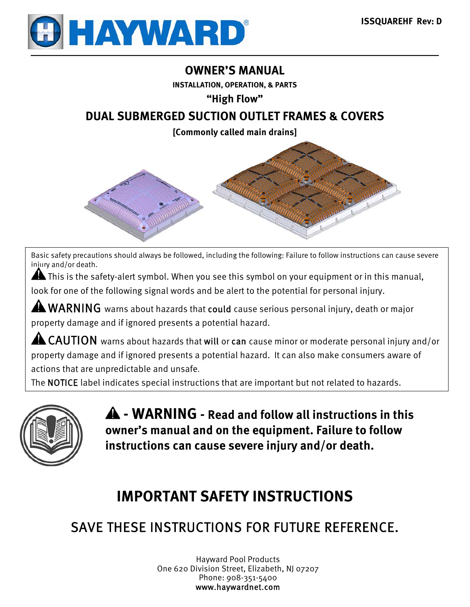

## **OWNER'S MANUAL**

**INSTALLATION, OPERATION, & PARTS** 

**"High Flow"** 

## **DUAL SUBMERGED SUCTION OUTLET FRAMES & COVERS**

**[Commonly called main drains]** 



Basic safety precautions should always be followed, including the following: Failure to follow instructions can cause severe injury and/or death.

A This is the safety-alert symbol. When you see this symbol on your equipment or in this manual,

look for one of the following signal words and be alert to the potential for personal injury.

A WARNING warns about hazards that could cause serious personal injury, death or major property damage and if ignored presents a potential hazard.

AL CAUTION warns about hazards that will or can cause minor or moderate personal injury and/or property damage and if ignored presents a potential hazard. It can also make consumers aware of actions that are unpredictable and unsafe.

The NOTICE label indicates special instructions that are important but not related to hazards.



 **- WARNING - Read and follow all instructions in this owner's manual and on the equipment. Failure to follow instructions can cause severe injury and/or death.** 

# **IMPORTANT SAFETY INSTRUCTIONS**

# SAVE THESE INSTRUCTIONS FOR FUTURE REFERENCE.

Hayward Pool Products One 620 Division Street, Elizabeth, NJ 07207 Phone: 908-351-5400 www.haywardnet.com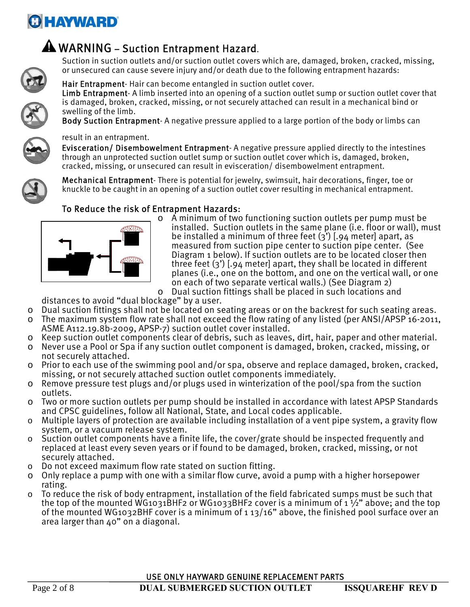# **GHAYWARD**



## A WARNING - Suction Entrapment Hazard.

Suction in suction outlets and/or suction outlet covers which are, damaged, broken, cracked, missing, or unsecured can cause severe injury and/or death due to the following entrapment hazards:



Hair Entrapment- Hair can become entangled in suction outlet cover. Limb Entrapment- A limb inserted into an opening of a suction outlet sump or suction outlet cover that is damaged, broken, cracked, missing, or not securely attached can result in a mechanical bind or swelling of the limb.

Body Suction Entrapment- A negative pressure applied to a large portion of the body or limbs can

result in an entrapment.



#### Evisceration/ Disembowelment Entrapment- A negative pressure applied directly to the intestines through an unprotected suction outlet sump or suction outlet cover which is, damaged, broken, cracked, missing, or unsecured can result in evisceration/ disembowelment entrapment.

Mechanical Entrapment- There is potential for jewelry, swimsuit, hair decorations, finger, toe or knuckle to be caught in an opening of a suction outlet cover resulting in mechanical entrapment.

## To Reduce the risk of Entrapment Hazards:



o A minimum of two functioning suction outlets per pump must be installed. Suction outlets in the same plane (i.e. floor or wall), must be installed a minimum of three feet (3') [.94 meter] apart, as measured from suction pipe center to suction pipe center. (See Diagram 1 below). If suction outlets are to be located closer then three feet (3') [.94 meter] apart, they shall be located in different planes (i.e., one on the bottom, and one on the vertical wall, or one on each of two separate vertical walls.) (See Diagram 2) o Dual suction fittings shall be placed in such locations and

distances to avoid "dual blockage" by a user.

- o Dual suction fittings shall not be located on seating areas or on the backrest for such seating areas.
- o The maximum system flow rate shall not exceed the flow rating of any listed (per ANSI/APSP 16-2011, ASME A112.19.8b-2009, APSP-7) suction outlet cover installed.
- o Keep suction outlet components clear of debris, such as leaves, dirt, hair, paper and other material.
- o Never use a Pool or Spa if any suction outlet component is damaged, broken, cracked, missing, or not securely attached.
- o Prior to each use of the swimming pool and/or spa, observe and replace damaged, broken, cracked, missing, or not securely attached suction outlet components immediately.
- o Remove pressure test plugs and/or plugs used in winterization of the pool/spa from the suction outlets.
- o Two or more suction outlets per pump should be installed in accordance with latest APSP Standards and CPSC guidelines, follow all National, State, and Local codes applicable.
- o Multiple layers of protection are available including installation of a vent pipe system, a gravity flow system, or a vacuum release system.
- o Suction outlet components have a finite life, the cover/grate should be inspected frequently and replaced at least every seven years or if found to be damaged, broken, cracked, missing, or not securely attached.
- o Do not exceed maximum flow rate stated on suction fitting.
- o Only replace a pump with one with a similar flow curve, avoid a pump with a higher horsepower rating.
- $\circ$  To reduce the risk of body entrapment, installation of the field fabricated sumps must be such that the top of the mounted WG1031BHF2 or WG1033BHF2 cover is a minimum of 1  $\frac{1}{2}$ " above; and the top of the mounted WG1032BHF cover is a minimum of 1 13/16" above, the finished pool surface over an area larger than 40" on a diagonal.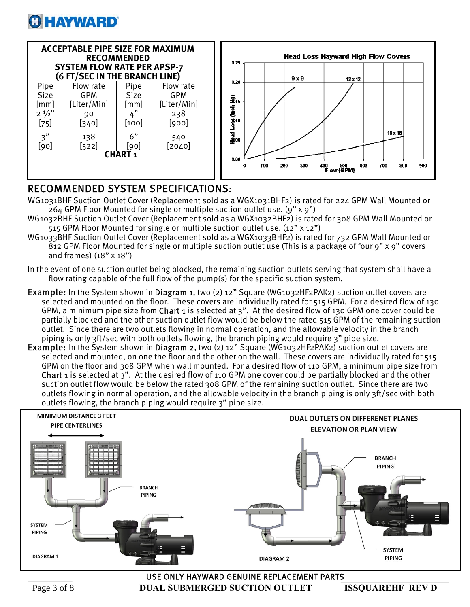

| <b>ACCEPTABLE PIPE SIZE FOR MAXIMUM</b><br><b>RECOMMENDED</b><br><b>SYSTEM FLOW RATE PER APSP-7</b><br>(6 FT/SEC IN THE BRANCH LINE) |                                                                    |                                                          |                                                                    |  |
|--------------------------------------------------------------------------------------------------------------------------------------|--------------------------------------------------------------------|----------------------------------------------------------|--------------------------------------------------------------------|--|
| Pipe<br><b>Size</b><br>[mm]<br>$2^{1/2}$<br>$[75]$<br>3"<br>[90]                                                                     | Flow rate<br>GPM<br>[Liter/Min]<br>90<br>$[340]$<br>138<br>$[522]$ | Pipe<br><b>Size</b><br>[mm]<br>4"<br>[100]<br>6"<br>[90] | Flow rate<br>GPM<br>[Liter/Min]<br>238<br>[900]<br>540<br>$[2040]$ |  |
| <b>CHART1</b>                                                                                                                        |                                                                    |                                                          |                                                                    |  |



## RECOMMENDED SYSTEM SPECIFICATIONS:

- WG1031BHF Suction Outlet Cover (Replacement sold as a WGX1031BHF2) is rated for 224 GPM Wall Mounted or 264 GPM Floor Mounted for single or multiple suction outlet use. (9" x 9")
- WG1032BHF Suction Outlet Cover (Replacement sold as a WGX1032BHF2) is rated for 308 GPM Wall Mounted or 515 GPM Floor Mounted for single or multiple suction outlet use. (12" x 12")
- WG1033BHF Suction Outlet Cover (Replacement sold as a WGX1033BHF2) is rated for 732 GPM Wall Mounted or 812 GPM Floor Mounted for single or multiple suction outlet use (This is a package of four 9" x 9" covers and frames) (18" x 18")
- In the event of one suction outlet being blocked, the remaining suction outlets serving that system shall have a flow rating capable of the full flow of the pump(s) for the specific suction system.
- Example: In the System shown in Diagram 1, two (2) 12" Square (WG1032HF2PAK2) suction outlet covers are selected and mounted on the floor. These covers are individually rated for 515 GPM. For a desired flow of 130 GPM, a minimum pipe size from Chart 1 is selected at 3". At the desired flow of 130 GPM one cover could be partially blocked and the other suction outlet flow would be below the rated 515 GPM of the remaining suction outlet. Since there are two outlets flowing in normal operation, and the allowable velocity in the branch piping is only 3ft/sec with both outlets flowing, the branch piping would require 3" pipe size.
- Example: In the System shown in Diagram 2, two (2) 12" Square (WG1032HF2PAK2) suction outlet covers are selected and mounted, on one the floor and the other on the wall. These covers are individually rated for 515 GPM on the floor and 308 GPM when wall mounted. For a desired flow of 110 GPM, a minimum pipe size from Chart 1 is selected at 3". At the desired flow of 110 GPM one cover could be partially blocked and the other suction outlet flow would be below the rated 308 GPM of the remaining suction outlet. Since there are two outlets flowing in normal operation, and the allowable velocity in the branch piping is only 3ft/sec with both outlets flowing, the branch piping would require 3" pipe size.



USE ONLY HAYWARD GENUINE REPLACEMENT PARTS

Page 3 of 8 **DUAL SUBMERGED SUCTION OUTLET ISSOUAREHF REV D**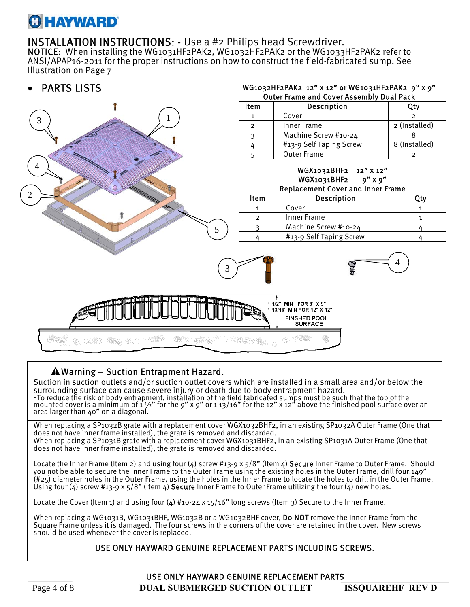# **GHAYWARD**

INSTALLATION INSTRUCTIONS: - Use a #2 Philips head Screwdriver.<br>NOTICE: When installing the WG1031HF2PAK2, WG1032HF2PAK2 or the WG1033HF2PAK2 refer to ANSI/APAP16-2011 for the proper instructions on how to construct the field-fabricated sump. See Illustration on Page 7

WG1032HF2PAK2 12" x 12" or WG1031HF2PAK2 9" x 9"

## PARTS LISTS



### Warning – Suction Entrapment Hazard.

Suction in suction outlets and/or suction outlet covers which are installed in a small area and/or below the surrounding surface can cause severe injury or death due to body entrapment hazard. To reduce the risk of body entrapment, installation of the field fabricated sumps must be such that the top of the<br>mounted cover is a minimum of  $1\frac{1}{2}$  for the 9" x 9" or  $1\frac{1}{2}$  for the 12" x 12" above the finishe

When replacing a SP1032B grate with a replacement cover WGX1032BHF2, in an existing SP1032A Outer Frame (One that does not have inner frame installed), the grate is removed and discarded. When replacing a SP1031B grate with a replacement cover WGX1031BHF2, in an existing SP1031A Outer Frame (One that does not have inner frame installed), the grate is removed and discarded.

Locate the Inner Frame (Item 2) and using four (4) screw #13-9 x 5/8" (Item 4) Secure Inner Frame to Outer Frame. Should you not be able to secure the Inner Frame to the Outer Frame using the existing holes in the Outer Frame; drill four.149" (#25) diameter holes in the Outer Frame, using the holes in the Inner Frame to locate the holes to drill in the Outer Frame. Using four (4) screw #13-9 x  $5/8$ " (Item 4) Secure Inner Frame to Outer Frame utilizing the four (4) new holes.

Locate the Cover (Item 1) and using four (4) #10-24 x 15/16" long screws (Item 3) Secure to the Inner Frame.

When replacing a WG1031B, WG1031BHF, WG1032B or a WG1032BHF cover, **Do NOT** remove the Inner Frame from the Square Frame unless it is damaged. The four screws in the corners of the cover are retained in the cover. New screws should be used whenever the cover is replaced.

#### USE ONLY HAYWARD GENUINE REPLACEMENT PARTS INCLUDING SCREWS.

Page 4 of 8 **DUAL SUBMERGED SUCTION OUTLET ISSQUAREHF REV D**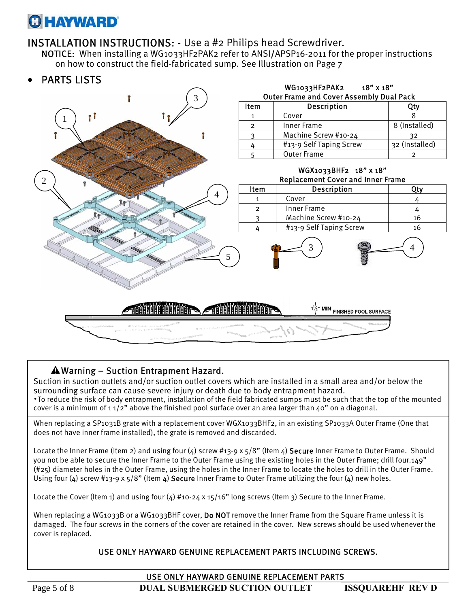# **O HAYWARD**

INSTALLATION INSTRUCTIONS: - Use a #2 Philips head Screwdriver. NOTICE: When installing a WG1033HF2PAK2 refer to ANSI/APSP16-2011 for the proper instructions on how to construct the field-fabricated sump. See Illustration on Page 7



### $\triangle$  Warning – Suction Entrapment Hazard.

Suction in suction outlets and/or suction outlet covers which are installed in a small area and/or below the surrounding surface can cause severe injury or death due to body entrapment hazard. ·To reduce the risk of body entrapment, installation of the field fabricated sumps must be such that the top of the mounted cover is a minimum of  $11/2$ " above the finished pool surface over an area larger than  $40$ " on a diagonal.

When replacing a SP1031B grate with a replacement cover WGX1033BHF2, in an existing SP1033A Outer Frame (One that does not have inner frame installed), the grate is removed and discarded.

Locate the Inner Frame (Item 2) and using four (4) screw #13-9 x 5/8" (Item 4) Secure Inner Frame to Outer Frame. Should you not be able to secure the Inner Frame to the Outer Frame using the existing holes in the Outer Frame; drill four.149" (#25) diameter holes in the Outer Frame, using the holes in the Inner Frame to locate the holes to drill in the Outer Frame. Using four (4) screw #13-9 x  $5/8$ " (Item 4) Secure Inner Frame to Outer Frame utilizing the four (4) new holes.

Locate the Cover (Item 1) and using four (4) #10-24 x 15/16" long screws (Item 3) Secure to the Inner Frame.

When replacing a WG1033B or a WG1033BHF cover, Do NOT remove the Inner Frame from the Square Frame unless it is damaged. The four screws in the corners of the cover are retained in the cover. New screws should be used whenever the cover is replaced.

#### USE ONLY HAYWARD GENUINE REPLACEMENT PARTS INCLUDING SCREWS.

USE ONLY HAYWARD GENUINE REPLACEMENT PARTS

Page 5 of 8 **DUAL SUBMERGED SUCTION OUTLET ISSOUAREHF REV D**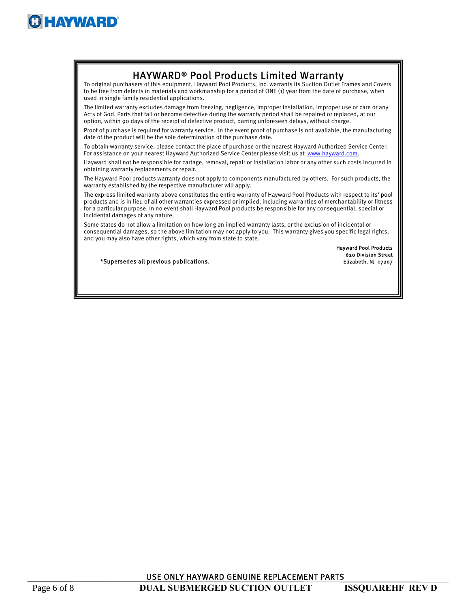

# HAYWARD® Pool Products Limited Warranty To original purchasers of this equipment, Hayward Pool Products, Inc. warrants its Suction Outlet Frames and Covers

to be free from defects in materials and workmanship for a period of ONE (1) year from the date of purchase, when used in single family residential applications.

The limited warranty excludes damage from freezing, negligence, improper installation, improper use or care or any Acts of God. Parts that fail or become defective during the warranty period shall be repaired or replaced, at our option, within 90 days of the receipt of defective product, barring unforeseen delays, without charge.

Proof of purchase is required for warranty service. In the event proof of purchase is not available, the manufacturing date of the product will be the sole determination of the purchase date.

To obtain warranty service, please contact the place of purchase or the nearest Hayward Authorized Service Center. For assistance on your nearest Hayward Authorized Service Center please visit us at www.hayward.com.

Hayward shall not be responsible for cartage, removal, repair or installation labor or any other such costs incurred in obtaining warranty replacements or repair.

The Hayward Pool products warranty does not apply to components manufactured by others. For such products, the warranty established by the respective manufacturer will apply.

The express limited warranty above constitutes the entire warranty of Hayward Pool Products with respect to its' pool products and is in lieu of all other warranties expressed or implied, including warranties of merchantability or fitness for a particular purpose. In no event shall Hayward Pool products be responsible for any consequential, special or incidental damages of any nature.

Some states do not allow a limitation on how long an implied warranty lasts, or the exclusion of incidental or consequential damages, so the above limitation may not apply to you. This warranty gives you specific legal rights, and you may also have other rights, which vary from state to state.

\*Supersedes all previous publications.

 Hayward Pool Products 620 Division Street

USE ONLY HAYWARD GENUINE REPLACEMENT PARTS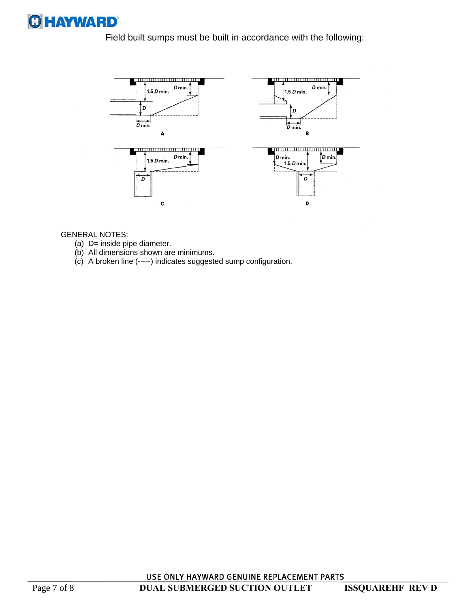

Field built sumps must be built in accordance with the following:



#### GENERAL NOTES:

- (a) D= inside pipe diameter.
- (b) All dimensions shown are minimums.
- (c) A broken line (-----) indicates suggested sump configuration.